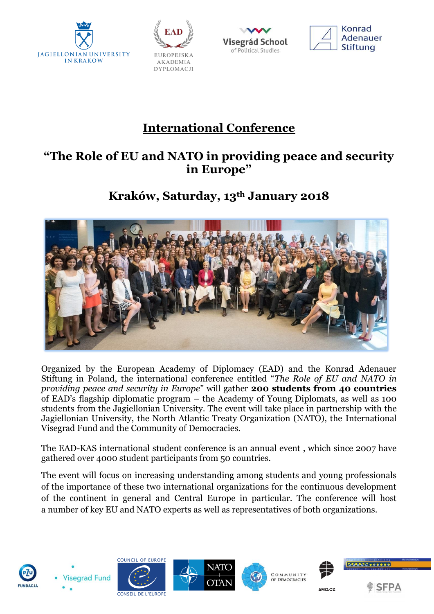







# **International Conference**

### **"The Role of EU and NATO in providing peace and security in Europe"**

### **Kraków, Saturday, 13th January 2018**



Organized by the European Academy of Diplomacy (EAD) and the Konrad Adenauer Stiftung in Poland, the international conference entitled "*The Role of EU and NATO in providing peace and security in Europe*" will gather **200 students from 40 countries**  of EAD's flagship diplomatic program – the Academy of Young Diplomats, as well as 100 students from the Jagiellonian University. The event will take place in partnership with the Jagiellonian University, the North Atlantic Treaty Organization (NATO), the International Visegrad Fund and the Community of Democracies.

The EAD-KAS international student conference is an annual event , which since 2007 have gathered over 4000 student participants from 50 countries.

The event will focus on increasing understanding among students and young professionals of the importance of these two international organizations for the continuous development of the continent in general and Central Europe in particular. The conference will host a number of key EU and NATO experts as well as representatives of both organizations.













AMO.CZ

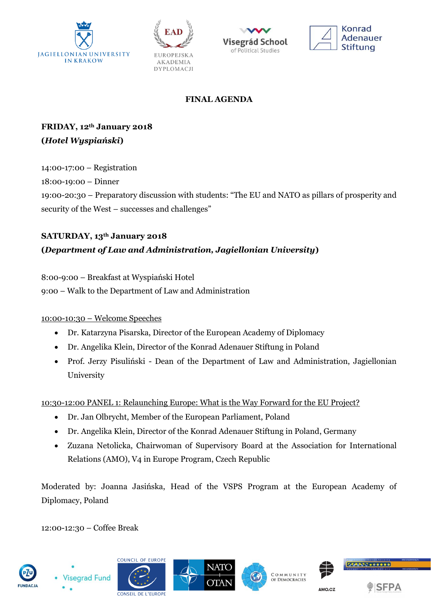







#### **FINAL AGENDA**

**FRIDAY, 12th January 2018 (***Hotel Wyspiański***)** 

14:00-17:00 – Registration 18:00-19:00 – Dinner 19:00-20:30 – Preparatory discussion with students: "The EU and NATO as pillars of prosperity and security of the West – successes and challenges"

### **SATURDAY, 13th January 2018 (***Department of Law and Administration, Jagiellonian University***)**

8:00-9:00 – Breakfast at Wyspiański Hotel 9:00 – Walk to the Department of Law and Administration

#### 10:00-10:30 – Welcome Speeches

- Dr. Katarzyna Pisarska, Director of the European Academy of Diplomacy
- Dr. Angelika Klein, Director of the Konrad Adenauer Stiftung in Poland
- Prof. Jerzy Pisuliński Dean of the Department of Law and Administration, Jagiellonian University

10:30-12:00 PANEL 1: Relaunching Europe: What is the Way Forward for the EU Project?

- Dr. Jan Olbrycht, Member of the European Parliament, Poland
- Dr. Angelika Klein, Director of the Konrad Adenauer Stiftung in Poland, Germany
- Zuzana Netolicka, Chairwoman of Supervisory Board at the Association for International Relations (AMO), V4 in Europe Program, Czech Republic

Moderated by: Joanna Jasińska, Head of the VSPS Program at the European Academy of Diplomacy, Poland

12:00-12:30 – Coffee Break









COMMUNITY **COMMUNITY**<br>OF DEMOCRACIES





AMO.CZ

**SFPA**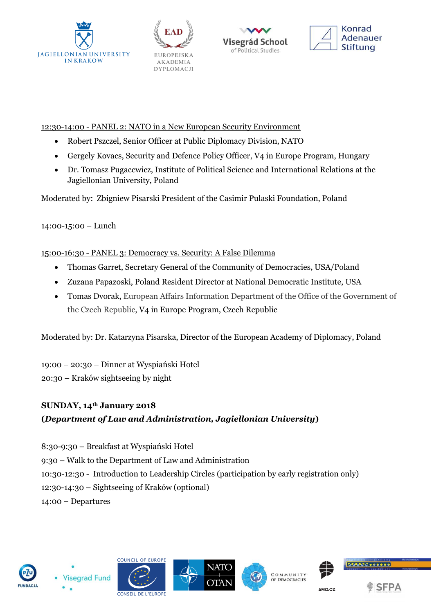







#### 12:30-14:00 - PANEL 2: NATO in a New European Security Environment

- Robert Pszczel, Senior Officer at Public Diplomacy Division, NATO
- Gergely Kovacs, Security and Defence Policy Officer, V4 in Europe Program, Hungary
- Dr. Tomasz Pugacewicz, Institute of Political Science and International Relations at the Jagiellonian University, Poland

Moderated by: Zbigniew Pisarski President of the Casimir Pulaski Foundation, Poland

14:00-15:00 – Lunch

#### 15:00-16:30 - PANEL 3: Democracy vs. Security: A False Dilemma

- Thomas Garret, Secretary General of the Community of Democracies, USA/Poland
- Zuzana Papazoski, Poland Resident Director at National Democratic Institute, USA
- Tomas Dvorak, European Affairs Information Department of the Office of the Government of the Czech Republic, V4 in Europe Program, Czech Republic

Moderated by: Dr. Katarzyna Pisarska, Director of the European Academy of Diplomacy, Poland

19:00 – 20:30 – Dinner at Wyspiański Hotel

20:30 – Kraków sightseeing by night

## **SUNDAY, 14th January 2018**

#### **(***Department of Law and Administration, Jagiellonian University***)**

8:30-9:30 – Breakfast at Wyspiański Hotel 9:30 – Walk to the Department of Law and Administration 10:30-12:30 - Introduction to Leadership Circles (participation by early registration only) 12:30-14:30 – Sightseeing of Kraków (optional) 14:00 – Departures















AMO.CZ

**SEPA**